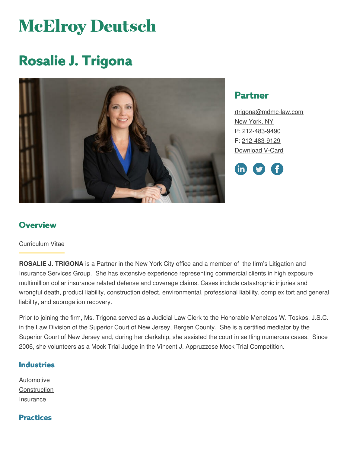# **McElroy Deutsch**

# **Rosalie J. Trigona**



# **Partner**

[rtrigona@mdmc-law.com](mailto:rtrigona@mdmc-law.com) New [York,](https://www.mdmc-law.com/offices/new-york) NY P: [212-483-9490](tel:212-483-9490) F: [212-483-9129](tel:212-483-9129) [Download](https://www.mdmc-law.com/node/284/vcard) V-Card



# **Overview**

#### Curriculum Vitae

**ROSALIE J. TRIGONA** is a Partner in the New York City office and a member of the firm's Litigation and Insurance Services Group. She has extensive experience representing commercial clients in high exposure multimillion dollar insurance related defense and coverage claims. Cases include catastrophic injuries and wrongful death, product liability, construction defect, environmental, professional liability, complex tort and general liability, and subrogation recovery.

Prior to joining the firm, Ms. Trigona served as a Judicial Law Clerk to the Honorable Menelaos W. Toskos, J.S.C. in the Law Division of the Superior Court of New Jersey, Bergen County. She is a certified mediator by the Superior Court of New Jersey and, during her clerkship, she assisted the court in settling numerous cases. Since 2006, she volunteers as a Mock Trial Judge in the Vincent J. Appruzzese Mock Trial Competition.

#### **Industries**

[Automotive](https://www.mdmc-law.com/industries/automotive) **[Construction](https://www.mdmc-law.com/industries/construction)** [Insurance](https://www.mdmc-law.com/industries/insurance)

#### **Practices**